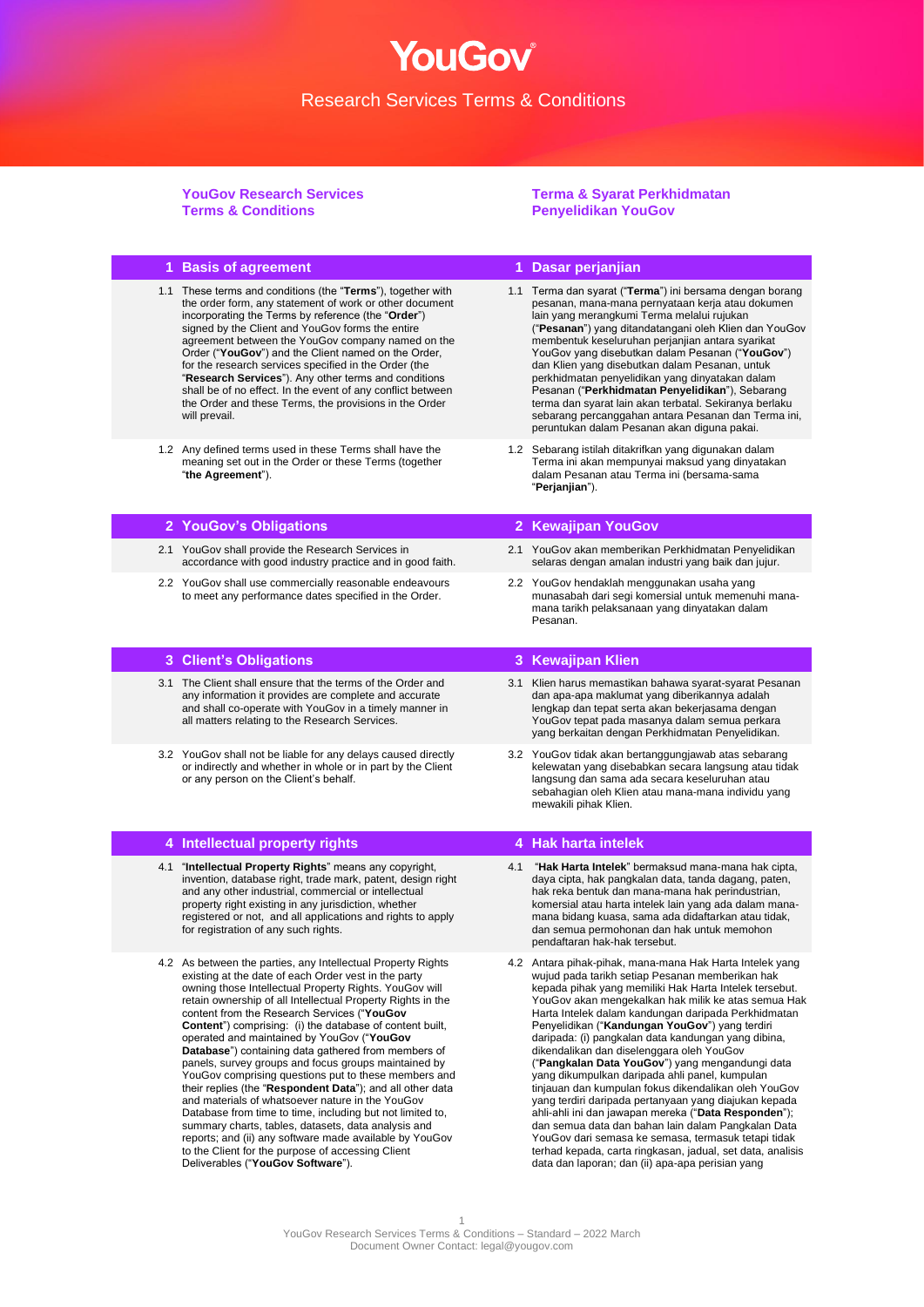YouGov®

**YouGov Research Services Terms & Conditions**

#### **Terma & Syarat Perkhidmatan Penyelidikan YouGov**

|     | 1 Basis of agreement                                                                                                                                                                                                                                                                                                                                                                                                                                                                                                                                                                                                                                                                                                                                                                                                                                                                                                                                                                    |     | 1 Dasar perjanjian                                                                                                                                                                                                                                                                                                                                                                                                                                                                                                                                                                                                                                                                                                                                                                                                                                                                                                                                              |
|-----|-----------------------------------------------------------------------------------------------------------------------------------------------------------------------------------------------------------------------------------------------------------------------------------------------------------------------------------------------------------------------------------------------------------------------------------------------------------------------------------------------------------------------------------------------------------------------------------------------------------------------------------------------------------------------------------------------------------------------------------------------------------------------------------------------------------------------------------------------------------------------------------------------------------------------------------------------------------------------------------------|-----|-----------------------------------------------------------------------------------------------------------------------------------------------------------------------------------------------------------------------------------------------------------------------------------------------------------------------------------------------------------------------------------------------------------------------------------------------------------------------------------------------------------------------------------------------------------------------------------------------------------------------------------------------------------------------------------------------------------------------------------------------------------------------------------------------------------------------------------------------------------------------------------------------------------------------------------------------------------------|
|     | 1.1 These terms and conditions (the "Terms"), together with<br>the order form, any statement of work or other document<br>incorporating the Terms by reference (the "Order")<br>signed by the Client and YouGov forms the entire<br>agreement between the YouGov company named on the<br>Order ("YouGov") and the Client named on the Order,<br>for the research services specified in the Order (the<br>"Research Services"). Any other terms and conditions<br>shall be of no effect. In the event of any conflict between<br>the Order and these Terms, the provisions in the Order<br>will prevail.                                                                                                                                                                                                                                                                                                                                                                                 |     | 1.1 Terma dan syarat ("Terma") ini bersama dengan borang<br>pesanan, mana-mana pernyataan kerja atau dokumen<br>lain yang merangkumi Terma melalui rujukan<br>("Pesanan") yang ditandatangani oleh Klien dan YouGov<br>membentuk keseluruhan perjanjian antara syarikat<br>YouGov yang disebutkan dalam Pesanan ("YouGov")<br>dan Klien yang disebutkan dalam Pesanan, untuk<br>perkhidmatan penyelidikan yang dinyatakan dalam<br>Pesanan ("Perkhidmatan Penyelidikan"), Sebarang<br>terma dan syarat lain akan terbatal. Sekiranya berlaku<br>sebarang percanggahan antara Pesanan dan Terma ini,<br>peruntukan dalam Pesanan akan diguna pakai.                                                                                                                                                                                                                                                                                                              |
|     | 1.2 Any defined terms used in these Terms shall have the<br>meaning set out in the Order or these Terms (together<br>"the Agreement").                                                                                                                                                                                                                                                                                                                                                                                                                                                                                                                                                                                                                                                                                                                                                                                                                                                  |     | 1.2 Sebarang istilah ditakrifkan yang digunakan dalam<br>Terma ini akan mempunyai maksud yang dinyatakan<br>dalam Pesanan atau Terma ini (bersama-sama<br>"Perjanjian").                                                                                                                                                                                                                                                                                                                                                                                                                                                                                                                                                                                                                                                                                                                                                                                        |
|     | 2 YouGov's Obligations                                                                                                                                                                                                                                                                                                                                                                                                                                                                                                                                                                                                                                                                                                                                                                                                                                                                                                                                                                  |     | 2 Kewajipan YouGov                                                                                                                                                                                                                                                                                                                                                                                                                                                                                                                                                                                                                                                                                                                                                                                                                                                                                                                                              |
|     | 2.1 YouGov shall provide the Research Services in<br>accordance with good industry practice and in good faith.                                                                                                                                                                                                                                                                                                                                                                                                                                                                                                                                                                                                                                                                                                                                                                                                                                                                          |     | 2.1 YouGov akan memberikan Perkhidmatan Penyelidikan<br>selaras dengan amalan industri yang baik dan jujur.                                                                                                                                                                                                                                                                                                                                                                                                                                                                                                                                                                                                                                                                                                                                                                                                                                                     |
|     | 2.2 YouGov shall use commercially reasonable endeavours<br>to meet any performance dates specified in the Order.                                                                                                                                                                                                                                                                                                                                                                                                                                                                                                                                                                                                                                                                                                                                                                                                                                                                        |     | 2.2 YouGov hendaklah menggunakan usaha yang<br>munasabah dari segi komersial untuk memenuhi mana-<br>mana tarikh pelaksanaan yang dinyatakan dalam<br>Pesanan.                                                                                                                                                                                                                                                                                                                                                                                                                                                                                                                                                                                                                                                                                                                                                                                                  |
|     | 3 Client's Obligations                                                                                                                                                                                                                                                                                                                                                                                                                                                                                                                                                                                                                                                                                                                                                                                                                                                                                                                                                                  |     | 3 Kewajipan Klien                                                                                                                                                                                                                                                                                                                                                                                                                                                                                                                                                                                                                                                                                                                                                                                                                                                                                                                                               |
|     | 3.1 The Client shall ensure that the terms of the Order and<br>any information it provides are complete and accurate<br>and shall co-operate with YouGov in a timely manner in<br>all matters relating to the Research Services.                                                                                                                                                                                                                                                                                                                                                                                                                                                                                                                                                                                                                                                                                                                                                        |     | 3.1 Klien harus memastikan bahawa syarat-syarat Pesanan<br>dan apa-apa maklumat yang diberikannya adalah<br>lengkap dan tepat serta akan bekerjasama dengan<br>YouGov tepat pada masanya dalam semua perkara<br>yang berkaitan dengan Perkhidmatan Penyelidikan.                                                                                                                                                                                                                                                                                                                                                                                                                                                                                                                                                                                                                                                                                                |
|     | 3.2 YouGov shall not be liable for any delays caused directly<br>or indirectly and whether in whole or in part by the Client<br>or any person on the Client's behalf.                                                                                                                                                                                                                                                                                                                                                                                                                                                                                                                                                                                                                                                                                                                                                                                                                   |     | 3.2 YouGov tidak akan bertanggungjawab atas sebarang<br>kelewatan yang disebabkan secara langsung atau tidak<br>langsung dan sama ada secara keseluruhan atau<br>sebahagian oleh Klien atau mana-mana individu yang<br>mewakili pihak Klien.                                                                                                                                                                                                                                                                                                                                                                                                                                                                                                                                                                                                                                                                                                                    |
|     | 4 Intellectual property rights                                                                                                                                                                                                                                                                                                                                                                                                                                                                                                                                                                                                                                                                                                                                                                                                                                                                                                                                                          |     | 4 Hak harta intelek                                                                                                                                                                                                                                                                                                                                                                                                                                                                                                                                                                                                                                                                                                                                                                                                                                                                                                                                             |
| 4.1 | "Intellectual Property Rights" means any copyright,<br>invention, database right, trade mark, patent, design right<br>and any other industrial, commercial or intellectual<br>property right existing in any jurisdiction, whether<br>registered or not, and all applications and rights to apply<br>for registration of any such rights.                                                                                                                                                                                                                                                                                                                                                                                                                                                                                                                                                                                                                                               | 4.1 | "Hak Harta Intelek" bermaksud mana-mana hak cipta,<br>daya cipta, hak pangkalan data, tanda dagang, paten,<br>hak reka bentuk dan mana-mana hak perindustrian,<br>komersial atau harta intelek lain yang ada dalam mana-<br>mana bidang kuasa, sama ada didaftarkan atau tidak,<br>dan semua permohonan dan hak untuk memohon<br>pendaftaran hak-hak tersebut.                                                                                                                                                                                                                                                                                                                                                                                                                                                                                                                                                                                                  |
|     | 4.2 As between the parties, any Intellectual Property Rights<br>existing at the date of each Order vest in the party<br>owning those Intellectual Property Rights. YouGov will<br>retain ownership of all Intellectual Property Rights in the<br>content from the Research Services ("YouGov<br><b>Content</b> ") comprising: (i) the database of content built,<br>operated and maintained by YouGov ("YouGov<br><b>Database</b> ") containing data gathered from members of<br>panels, survey groups and focus groups maintained by<br>YouGov comprising questions put to these members and<br>their replies (the "Respondent Data"); and all other data<br>and materials of whatsoever nature in the YouGov<br>Database from time to time, including but not limited to,<br>summary charts, tables, datasets, data analysis and<br>reports; and (ii) any software made available by YouGov<br>to the Client for the purpose of accessing Client<br>Deliverables ("YouGov Software"). |     | 4.2 Antara pihak-pihak, mana-mana Hak Harta Intelek yang<br>wujud pada tarikh setiap Pesanan memberikan hak<br>kepada pihak yang memiliki Hak Harta Intelek tersebut.<br>YouGov akan mengekalkan hak milik ke atas semua Hak<br>Harta Intelek dalam kandungan daripada Perkhidmatan<br>Penyelidikan ("Kandungan YouGov") yang terdiri<br>daripada: (i) pangkalan data kandungan yang dibina,<br>dikendalikan dan diselenggara oleh YouGov<br>("Pangkalan Data YouGov") yang mengandungi data<br>yang dikumpulkan daripada ahli panel, kumpulan<br>tinjauan dan kumpulan fokus dikendalikan oleh YouGov<br>yang terdiri daripada pertanyaan yang diajukan kepada<br>ahli-ahli ini dan jawapan mereka (" <b>Data Responden</b> ");<br>dan semua data dan bahan lain dalam Pangkalan Data<br>YouGov dari semasa ke semasa, termasuk tetapi tidak<br>terhad kepada, carta ringkasan, jadual, set data, analisis<br>data dan laporan; dan (ii) apa-apa perisian yang |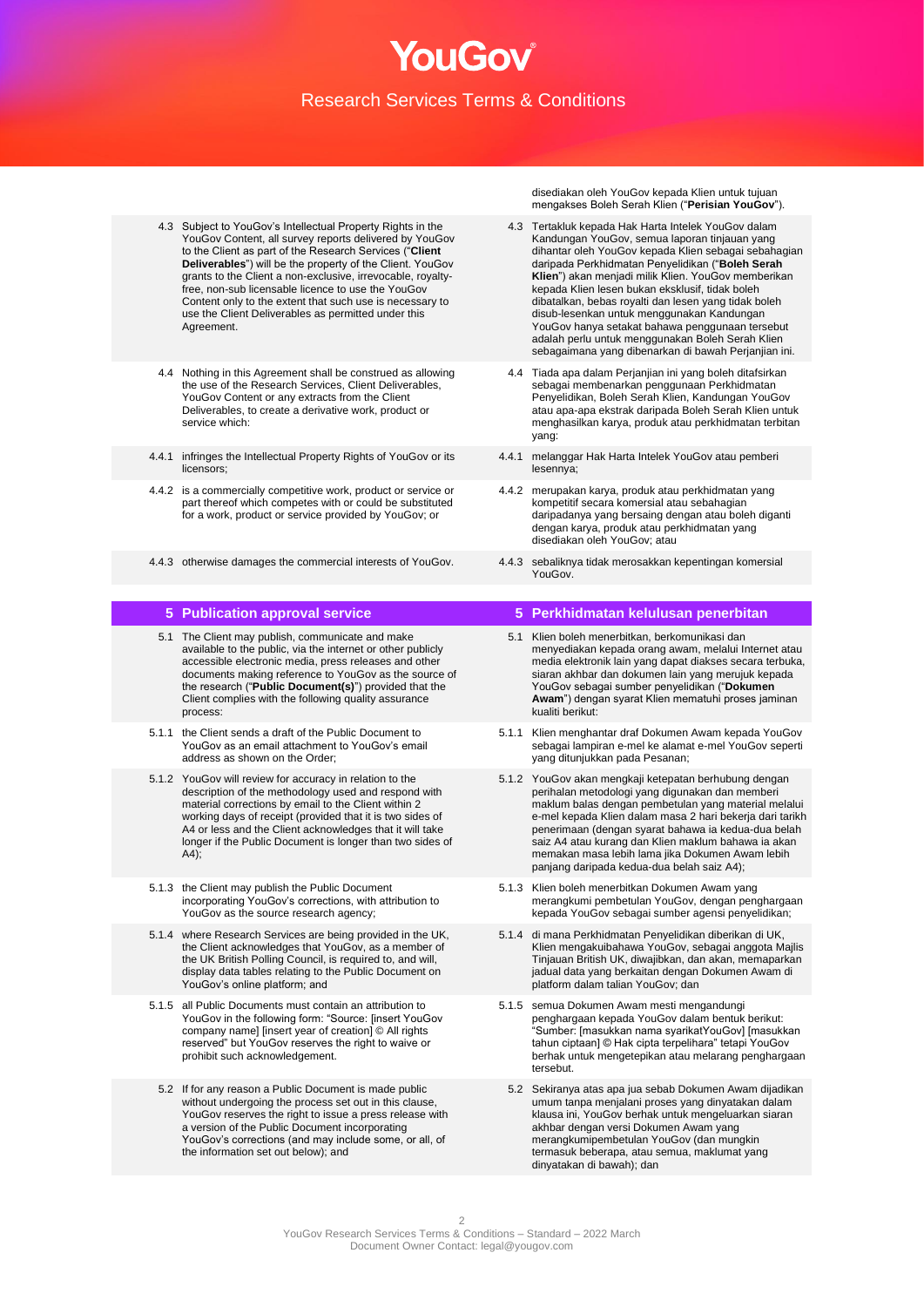- 4.3 Subject to YouGov's Intellectual Property Rights in the YouGov Content, all survey reports delivered by YouGov to the Client as part of the Research Services ("**Client Deliverables**") will be the property of the Client. YouGov grants to the Client a non-exclusive, irrevocable, royaltyfree, non-sub licensable licence to use the YouGov Content only to the extent that such use is necessary to use the Client Deliverables as permitted under this Agreement.
- 4.4 Nothing in this Agreement shall be construed as allowing the use of the Research Services, Client Deliverables, YouGov Content or any extracts from the Client Deliverables, to create a derivative work, product or service which:
- 4.4.1 infringes the Intellectual Property Rights of YouGov or its licensors;
- 4.4.2 is a commercially competitive work, product or service or part thereof which competes with or could be substituted for a work, product or service provided by YouGov; or
- 4.4.3 otherwise damages the commercial interests of YouGov. 4.4.3 sebaliknya tidak merosakkan kepentingan komersial

- 5.1 The Client may publish, communicate and make available to the public, via the internet or other publicly accessible electronic media, press releases and other documents making reference to YouGov as the source of the research ("**Public Document(s)**") provided that the Client complies with the following quality assurance process:
- 5.1.1 the Client sends a draft of the Public Document to YouGov as an email attachment to YouGov's email address as shown on the Order;
- 5.1.2 YouGov will review for accuracy in relation to the description of the methodology used and respond with material corrections by email to the Client within 2 working days of receipt (provided that it is two sides of A4 or less and the Client acknowledges that it will take longer if the Public Document is longer than two sides of  $(A4)$ ;
- 5.1.3 the Client may publish the Public Document incorporating YouGov's corrections, with attribution to YouGov as the source research agency;
- 5.1.4 where Research Services are being provided in the UK, the Client acknowledges that YouGov, as a member of the UK British Polling Council, is required to, and will, display data tables relating to the Public Document on YouGov's online platform; and
- 5.1.5 all Public Documents must contain an attribution to YouGov in the following form: "Source: [insert YouGov company name] [insert year of creation] © All rights reserved" but YouGov reserves the right to waive or prohibit such acknowledgement.
	- 5.2 If for any reason a Public Document is made public without undergoing the process set out in this clause, YouGov reserves the right to issue a press release with a version of the Public Document incorporating YouGov's corrections (and may include some, or all, of the information set out below); and

disediakan oleh YouGov kepada Klien untuk tujuan mengakses Boleh Serah Klien ("**Perisian YouGov**").

- 4.3 Tertakluk kepada Hak Harta Intelek YouGov dalam Kandungan YouGov, semua laporan tinjauan yang dihantar oleh YouGov kepada Klien sebagai sebahagian daripada Perkhidmatan Penyelidikan ("**Boleh Serah Klien**") akan menjadi milik Klien. YouGov memberikan kepada Klien lesen bukan eksklusif, tidak boleh dibatalkan, bebas royalti dan lesen yang tidak boleh disub-lesenkan untuk menggunakan Kandungan YouGov hanya setakat bahawa penggunaan tersebut adalah perlu untuk menggunakan Boleh Serah Klien sebagaimana yang dibenarkan di bawah Perjanjian ini.
- 4.4 Tiada apa dalam Perjanjian ini yang boleh ditafsirkan sebagai membenarkan penggunaan Perkhidmatan Penyelidikan, Boleh Serah Klien, Kandungan YouGov atau apa-apa ekstrak daripada Boleh Serah Klien untuk menghasilkan karya, produk atau perkhidmatan terbitan yang:
- 4.4.1 melanggar Hak Harta Intelek YouGov atau pemberi lesennya;
- 4.4.2 merupakan karya, produk atau perkhidmatan yang kompetitif secara komersial atau sebahagian daripadanya yang bersaing dengan atau boleh diganti dengan karya, produk atau perkhidmatan yang disediakan oleh YouGov; atau
- YouGov.

#### **5 Publication approval service 5 Perkhidmatan kelulusan penerbitan**

- 5.1 Klien boleh menerbitkan, berkomunikasi dan menyediakan kepada orang awam, melalui Internet atau media elektronik lain yang dapat diakses secara terbuka, siaran akhbar dan dokumen lain yang merujuk kepada YouGov sebagai sumber penyelidikan ("**Dokumen Awam**") dengan syarat Klien mematuhi proses jaminan kualiti berikut:
- 5.1.1 Klien menghantar draf Dokumen Awam kepada YouGov sebagai lampiran e-mel ke alamat e-mel YouGov seperti yang ditunjukkan pada Pesanan;
- 5.1.2 YouGov akan mengkaji ketepatan berhubung dengan perihalan metodologi yang digunakan dan memberi maklum balas dengan pembetulan yang material melalui e-mel kepada Klien dalam masa 2 hari bekerja dari tarikh penerimaan (dengan syarat bahawa ia kedua-dua belah saiz A4 atau kurang dan Klien maklum bahawa ia akan memakan masa lebih lama jika Dokumen Awam lebih panjang daripada kedua-dua belah saiz A4);
- 5.1.3 Klien boleh menerbitkan Dokumen Awam yang merangkumi pembetulan YouGov, dengan penghargaan kepada YouGov sebagai sumber agensi penyelidikan;
- 5.1.4 di mana Perkhidmatan Penyelidikan diberikan di UK, Klien mengakuibahawa YouGov, sebagai anggota Majlis Tinjauan British UK, diwajibkan, dan akan, memaparkan jadual data yang berkaitan dengan Dokumen Awam di platform dalam talian YouGov; dan
- 5.1.5 semua Dokumen Awam mesti mengandungi penghargaan kepada YouGov dalam bentuk berikut: "Sumber: [masukkan nama syarikatYouGov] [masukkan tahun ciptaan] © Hak cipta terpelihara" tetapi YouGov berhak untuk mengetepikan atau melarang penghargaan tersebut.
	- 5.2 Sekiranya atas apa jua sebab Dokumen Awam dijadikan umum tanpa menjalani proses yang dinyatakan dalam klausa ini, YouGov berhak untuk mengeluarkan siaran akhbar dengan versi Dokumen Awam yang merangkumipembetulan YouGov (dan mungkin termasuk beberapa, atau semua, maklumat yang dinyatakan di bawah); dan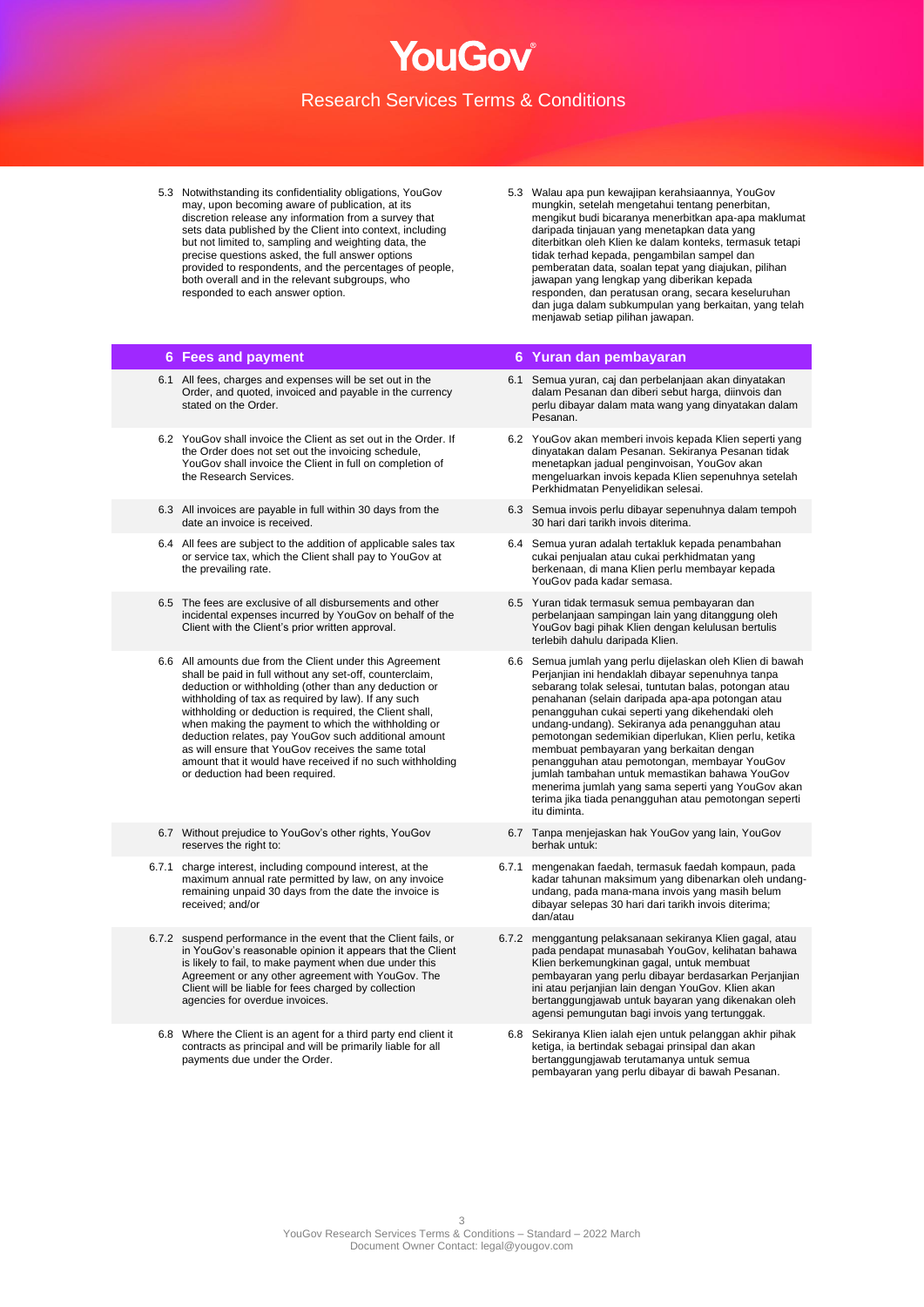5.3 Notwithstanding its confidentiality obligations, YouGov may, upon becoming aware of publication, at its discretion release any information from a survey that sets data published by the Client into context, including but not limited to, sampling and weighting data, the precise questions asked, the full answer options provided to respondents, and the percentages of people, both overall and in the relevant subgroups, who responded to each answer option.

- 6.1 All fees, charges and expenses will be set out in the Order, and quoted, invoiced and payable in the currency stated on the Order.
- 6.2 YouGov shall invoice the Client as set out in the Order. If the Order does not set out the invoicing schedule, YouGov shall invoice the Client in full on completion of the Research Services.
- 6.3 All invoices are payable in full within 30 days from the date an invoice is received.
- 6.4 All fees are subject to the addition of applicable sales tax or service tax, which the Client shall pay to YouGov at the prevailing rate.
- 6.5 The fees are exclusive of all disbursements and other incidental expenses incurred by YouGov on behalf of the Client with the Client's prior written approval.
- 6.6 All amounts due from the Client under this Agreement shall be paid in full without any set-off, counterclaim, deduction or withholding (other than any deduction or withholding of tax as required by law). If any such withholding or deduction is required, the Client shall, when making the payment to which the withholding or deduction relates, pay YouGov such additional amount as will ensure that YouGov receives the same total amount that it would have received if no such withholding or deduction had been required.
- 6.7 Without prejudice to YouGov's other rights, YouGov reserves the right to:
- 6.7.1 charge interest, including compound interest, at the maximum annual rate permitted by law, on any invoice remaining unpaid 30 days from the date the invoice is received; and/or
- 6.7.2 suspend performance in the event that the Client fails, or in YouGov's reasonable opinion it appears that the Client is likely to fail, to make payment when due under this Agreement or any other agreement with YouGov. The Client will be liable for fees charged by collection agencies for overdue invoices.
	- 6.8 Where the Client is an agent for a third party end client it contracts as principal and will be primarily liable for all payments due under the Order.

5.3 Walau apa pun kewajipan kerahsiaannya, YouGov mungkin, setelah mengetahui tentang penerbitan, mengikut budi bicaranya menerbitkan apa-apa maklumat daripada tinjauan yang menetapkan data yang diterbitkan oleh Klien ke dalam konteks, termasuk tetapi tidak terhad kepada, pengambilan sampel dan pemberatan data, soalan tepat yang diajukan, pilihan jawapan yang lengkap yang diberikan kepada responden, dan peratusan orang, secara keseluruhan dan juga dalam subkumpulan yang berkaitan, yang telah menjawab setiap pilihan jawapan.

#### **6 Fees and payment 6 Yuran dan pembayaran**

- 6.1 Semua yuran, caj dan perbelanjaan akan dinyatakan dalam Pesanan dan diberi sebut harga, diinvois dan perlu dibayar dalam mata wang yang dinyatakan dalam Pesanan.
- 6.2 YouGov akan memberi invois kepada Klien seperti yang dinyatakan dalam Pesanan. Sekiranya Pesanan tidak menetapkan jadual penginvoisan, YouGov akan mengeluarkan invois kepada Klien sepenuhnya setelah Perkhidmatan Penyelidikan selesai.
- 6.3 Semua invois perlu dibayar sepenuhnya dalam tempoh 30 hari dari tarikh invois diterima.
- 6.4 Semua yuran adalah tertakluk kepada penambahan cukai penjualan atau cukai perkhidmatan yang berkenaan, di mana Klien perlu membayar kepada YouGov pada kadar semasa.
- 6.5 Yuran tidak termasuk semua pembayaran dan perbelanjaan sampingan lain yang ditanggung oleh YouGov bagi pihak Klien dengan kelulusan bertulis terlebih dahulu daripada Klien.
- 6.6 Semua jumlah yang perlu dijelaskan oleh Klien di bawah Perjanjian ini hendaklah dibayar sepenuhnya tanpa sebarang tolak selesai, tuntutan balas, potongan atau penahanan (selain daripada apa-apa potongan atau penangguhan cukai seperti yang dikehendaki oleh undang-undang). Sekiranya ada penangguhan atau pemotongan sedemikian diperlukan, Klien perlu, ketika membuat pembayaran yang berkaitan dengan penangguhan atau pemotongan, membayar YouGov jumlah tambahan untuk memastikan bahawa YouGov menerima jumlah yang sama seperti yang YouGov akan terima jika tiada penangguhan atau pemotongan seperti itu diminta.
- 6.7 Tanpa menjejaskan hak YouGov yang lain, YouGov berhak untuk:
- 6.7.1 mengenakan faedah, termasuk faedah kompaun, pada kadar tahunan maksimum yang dibenarkan oleh undangundang, pada mana-mana invois yang masih belum dibayar selepas 30 hari dari tarikh invois diterima; dan/atau
- 6.7.2 menggantung pelaksanaan sekiranya Klien gagal, atau pada pendapat munasabah YouGov, kelihatan bahawa Klien berkemungkinan gagal, untuk membuat pembayaran yang perlu dibayar berdasarkan Perjanjian ini atau perjanjian lain dengan YouGov. Klien akan bertanggungjawab untuk bayaran yang dikenakan oleh agensi pemungutan bagi invois yang tertunggak.
- 6.8 Sekiranya Klien ialah ejen untuk pelanggan akhir pihak ketiga, ia bertindak sebagai prinsipal dan akan bertanggungjawab terutamanya untuk semua pembayaran yang perlu dibayar di bawah Pesanan.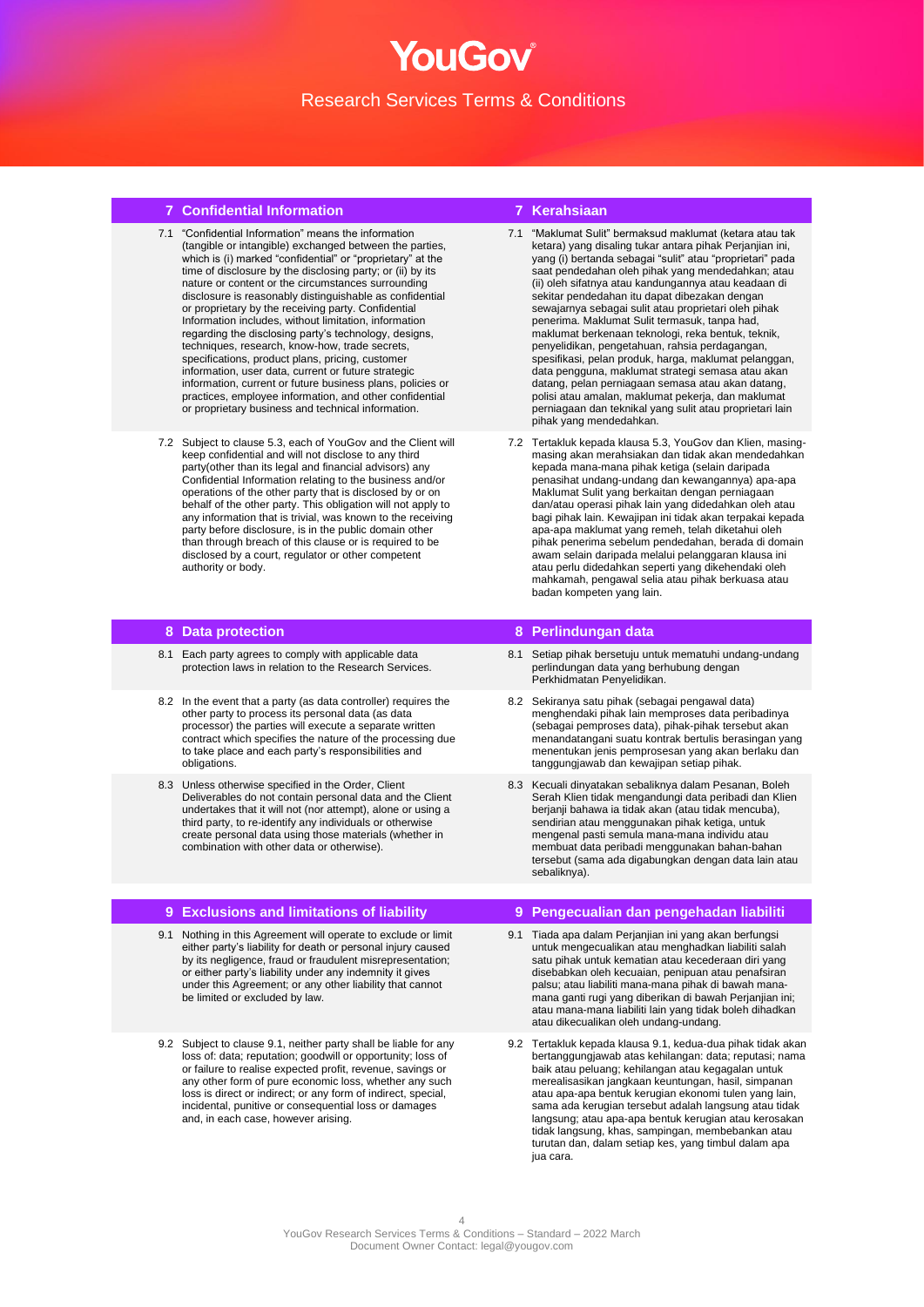### **7 Confidential Information 7 Kerahsiaan**

- 7.1 "Confidential Information" means the information (tangible or intangible) exchanged between the parties, which is (i) marked "confidential" or "proprietary" at the time of disclosure by the disclosing party; or (ii) by its nature or content or the circumstances surrounding disclosure is reasonably distinguishable as confidential or proprietary by the receiving party. Confidential Information includes, without limitation, information regarding the disclosing party's technology, designs, techniques, research, know-how, trade secrets, specifications, product plans, pricing, customer information, user data, current or future strategic information, current or future business plans, policies or practices, employee information, and other confidential or proprietary business and technical information.
- 7.2 Subject to clause 5.3, each of YouGov and the Client will keep confidential and will not disclose to any third party(other than its legal and financial advisors) any Confidential Information relating to the business and/or operations of the other party that is disclosed by or on behalf of the other party. This obligation will not apply to any information that is trivial, was known to the receiving party before disclosure, is in the public domain other than through breach of this clause or is required to be disclosed by a court, regulator or other competent authority or body.

#### **8 Data protection 8 Perlindungan data**

- 8.1 Each party agrees to comply with applicable data protection laws in relation to the Research Services.
- 8.2 In the event that a party (as data controller) requires the other party to process its personal data (as data processor) the parties will execute a separate written contract which specifies the nature of the processing due to take place and each party's responsibilities and obligations
- 8.3 Unless otherwise specified in the Order, Client Deliverables do not contain personal data and the Client undertakes that it will not (nor attempt), alone or using a third party, to re-identify any individuals or otherwise create personal data using those materials (whether in combination with other data or otherwise).

#### **9 Exclusions and limitations of liability 9 Pengecualian dan pengehadan liabiliti**

- 9.1 Nothing in this Agreement will operate to exclude or limit either party's liability for death or personal injury caused by its negligence, fraud or fraudulent misrepresentation; or either party's liability under any indemnity it gives under this Agreement; or any other liability that cannot be limited or excluded by law.
- 9.2 Subject to clause 9.1, neither party shall be liable for any loss of: data; reputation; goodwill or opportunity; loss of or failure to realise expected profit, revenue, savings or any other form of pure economic loss, whether any such drive them of part sections is direct or indirect; or any form of indirect, special, incidental, punitive or consequential loss or damages and, in each case, however arising.

- 7.1 "Maklumat Sulit" bermaksud maklumat (ketara atau tak ketara) yang disaling tukar antara pihak Perjanjian ini, yang (i) bertanda sebagai "sulit" atau "proprietari" pada saat pendedahan oleh pihak yang mendedahkan; atau (ii) oleh sifatnya atau kandungannya atau keadaan di sekitar pendedahan itu dapat dibezakan dengan sewajarnya sebagai sulit atau proprietari oleh pihak penerima. Maklumat Sulit termasuk, tanpa had, maklumat berkenaan teknologi, reka bentuk, teknik, penyelidikan, pengetahuan, rahsia perdagangan, spesifikasi, pelan produk, harga, maklumat pelanggan, data pengguna, maklumat strategi semasa atau akan datang, pelan perniagaan semasa atau akan datang, polisi atau amalan, maklumat pekerja, dan maklumat perniagaan dan teknikal yang sulit atau proprietari lain pihak yang mendedahkan.
- 7.2 Tertakluk kepada klausa 5.3, YouGov dan Klien, masingmasing akan merahsiakan dan tidak akan mendedahkan kepada mana-mana pihak ketiga (selain daripada penasihat undang-undang dan kewangannya) apa-apa Maklumat Sulit yang berkaitan dengan perniagaan dan/atau operasi pihak lain yang didedahkan oleh atau bagi pihak lain. Kewajipan ini tidak akan terpakai kepada apa-apa maklumat yang remeh, telah diketahui oleh pihak penerima sebelum pendedahan, berada di domain awam selain daripada melalui pelanggaran klausa ini atau perlu didedahkan seperti yang dikehendaki oleh mahkamah, pengawal selia atau pihak berkuasa atau badan kompeten yang lain.

### 8.1 Setiap pihak bersetuju untuk mematuhi undang-undang perlindungan data yang berhubung dengan Perkhidmatan Penyelidikan.

- 8.2 Sekiranya satu pihak (sebagai pengawal data) menghendaki pihak lain memproses data peribadinya (sebagai pemproses data), pihak-pihak tersebut akan menandatangani suatu kontrak bertulis berasingan yang menentukan jenis pemprosesan yang akan berlaku dan tanggungjawab dan kewajipan setiap pihak.
- 8.3 Kecuali dinyatakan sebaliknya dalam Pesanan, Boleh Serah Klien tidak mengandungi data peribadi dan Klien berjanji bahawa ia tidak akan (atau tidak mencuba), sendirian atau menggunakan pihak ketiga, untuk mengenal pasti semula mana-mana individu atau membuat data peribadi menggunakan bahan-bahan tersebut (sama ada digabungkan dengan data lain atau sebaliknya).

#### 9.1 Tiada apa dalam Perjanjian ini yang akan berfungsi untuk mengecualikan atau menghadkan liabiliti salah satu pihak untuk kematian atau kecederaan diri yang disebabkan oleh kecuaian, penipuan atau penafsiran palsu; atau liabiliti mana-mana pihak di bawah manamana ganti rugi yang diberikan di bawah Perjanjian ini; atau mana-mana liabiliti lain yang tidak boleh dihadkan atau dikecualikan oleh undang-undang.

9.2 Tertakluk kepada klausa 9.1, kedua-dua pihak tidak akan bertanggungjawab atas kehilangan: data; reputasi; nama baik atau peluang; kehilangan atau kegagalan untuk merealisasikan jangkaan keuntungan, hasil, simpanan atau apa-apa bentuk kerugian ekonomi tulen yang lain, sama ada kerugian tersebut adalah langsung atau tidak langsung; atau apa-apa bentuk kerugian atau kerosakan tidak langsung, khas, sampingan, membebankan atau turutan dan, dalam setiap kes, yang timbul dalam apa jua cara.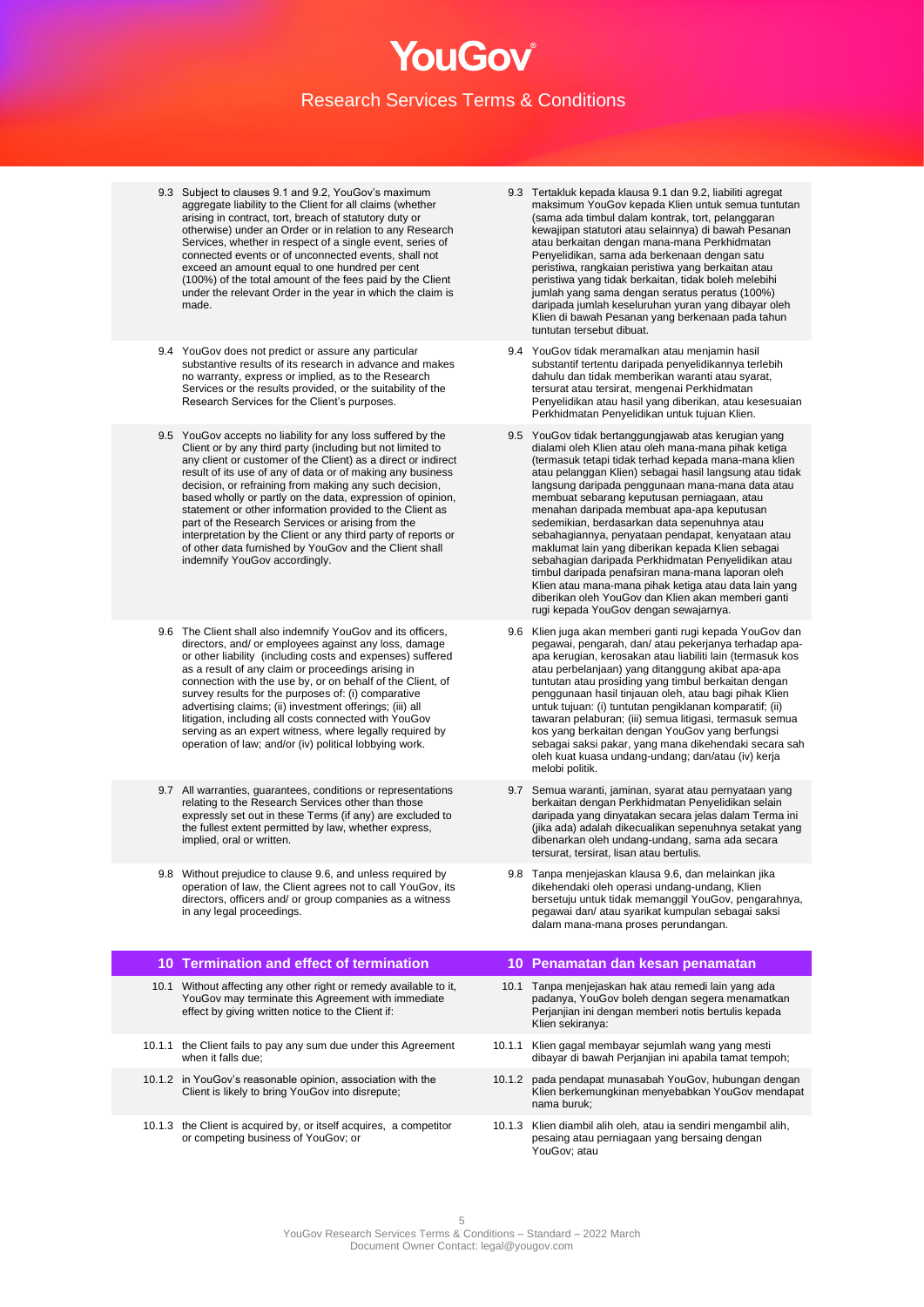- 9.3 Subject to clauses 9.1 and 9.2, YouGov's maximum aggregate liability to the Client for all claims (whether arising in contract, tort, breach of statutory duty or otherwise) under an Order or in relation to any Research Services, whether in respect of a single event, series of connected events or of unconnected events, shall not exceed an amount equal to one hundred per cent (100%) of the total amount of the fees paid by the Client under the relevant Order in the year in which the claim is made.
- 9.4 YouGov does not predict or assure any particular substantive results of its research in advance and makes no warranty, express or implied, as to the Research Services or the results provided, or the suitability of the Research Services for the Client's purposes.
- 9.5 YouGov accepts no liability for any loss suffered by the Client or by any third party (including but not limited to any client or customer of the Client) as a direct or indirect result of its use of any of data or of making any business decision, or refraining from making any such decision, based wholly or partly on the data, expression of opinion, statement or other information provided to the Client as part of the Research Services or arising from the interpretation by the Client or any third party of reports or of other data furnished by YouGov and the Client shall indemnify YouGov accordingly.
- 9.6 The Client shall also indemnify YouGov and its officers, directors, and/ or employees against any loss, damage or other liability (including costs and expenses) suffered as a result of any claim or proceedings arising in connection with the use by, or on behalf of the Client, of survey results for the purposes of: (i) comparative advertising claims; (ii) investment offerings; (iii) all litigation, including all costs connected with YouGov serving as an expert witness, where legally required by operation of law; and/or (iv) political lobbying work.
- 9.7 All warranties, guarantees, conditions or representations relating to the Research Services other than those expressly set out in these Terms (if any) are excluded to the fullest extent permitted by law, whether express, implied, oral or written.
- 9.8 Without prejudice to clause 9.6, and unless required by operation of law, the Client agrees not to call YouGov, its directors, officers and/ or group companies as a witness in any legal proceedings.

### **10 Termination and effect of termination 10 Penamatan dan kesan penamatan** 10.1 Without affecting any other right or remedy available to it, YouGov may terminate this Agreement with immediate effect by giving written notice to the Client if: 10.1.1 the Client fails to pay any sum due under this Agreement when it falls due;

- 10.1.2 in YouGov's reasonable opinion, association with the Client is likely to bring YouGov into disrepute;
- 10.1.3 the Client is acquired by, or itself acquires, a competitor or competing business of YouGov; or
- 9.3 Tertakluk kepada klausa 9.1 dan 9.2, liabiliti agregat maksimum YouGov kepada Klien untuk semua tuntutan (sama ada timbul dalam kontrak, tort, pelanggaran kewajipan statutori atau selainnya) di bawah Pesanan atau berkaitan dengan mana-mana Perkhidmatan Penyelidikan, sama ada berkenaan dengan satu peristiwa, rangkaian peristiwa yang berkaitan atau peristiwa yang tidak berkaitan, tidak boleh melebihi jumlah yang sama dengan seratus peratus (100%) daripada jumlah keseluruhan yuran yang dibayar oleh Klien di bawah Pesanan yang berkenaan pada tahun tuntutan tersebut dibuat.
- 9.4 YouGov tidak meramalkan atau menjamin hasil substantif tertentu daripada penyelidikannya terlebih dahulu dan tidak memberikan waranti atau syarat, tersurat atau tersirat, mengenai Perkhidmatan Penyelidikan atau hasil yang diberikan, atau kesesuaian Perkhidmatan Penyelidikan untuk tujuan Klien.
- 9.5 YouGov tidak bertanggungjawab atas kerugian yang dialami oleh Klien atau oleh mana-mana pihak ketiga (termasuk tetapi tidak terhad kepada mana-mana klien atau pelanggan Klien) sebagai hasil langsung atau tidak langsung daripada penggunaan mana-mana data atau membuat sebarang keputusan perniagaan, atau menahan daripada membuat apa-apa keputusan sedemikian, berdasarkan data sepenuhnya atau sebahagiannya, penyataan pendapat, kenyataan atau maklumat lain yang diberikan kepada Klien sebagai sebahagian daripada Perkhidmatan Penyelidikan atau timbul daripada penafsiran mana-mana laporan oleh Klien atau mana-mana pihak ketiga atau data lain yang diberikan oleh YouGov dan Klien akan memberi ganti rugi kepada YouGov dengan sewajarnya.
- 9.6 Klien juga akan memberi ganti rugi kepada YouGov dan pegawai, pengarah, dan/ atau pekerjanya terhadap apaapa kerugian, kerosakan atau liabiliti lain (termasuk kos atau perbelanjaan) yang ditanggung akibat apa-apa tuntutan atau prosiding yang timbul berkaitan dengan penggunaan hasil tinjauan oleh, atau bagi pihak Klien untuk tujuan: (i) tuntutan pengiklanan komparatif; (ii) tawaran pelaburan; (iii) semua litigasi, termasuk semua kos yang berkaitan dengan YouGov yang berfungsi sebagai saksi pakar, yang mana dikehendaki secara sah oleh kuat kuasa undang-undang; dan/atau (iv) kerja melobi politik.
- 9.7 Semua waranti, jaminan, syarat atau pernyataan yang berkaitan dengan Perkhidmatan Penyelidikan selain daripada yang dinyatakan secara jelas dalam Terma ini (jika ada) adalah dikecualikan sepenuhnya setakat yang dibenarkan oleh undang-undang, sama ada secara tersurat, tersirat, lisan atau bertulis.
- 9.8 Tanpa menjejaskan klausa 9.6, dan melainkan jika dikehendaki oleh operasi undang-undang, Klien bersetuju untuk tidak memanggil YouGov, pengarahnya, pegawai dan/ atau syarikat kumpulan sebagai saksi dalam mana-mana proses perundangan.

#### 10.1 Tanpa menjejaskan hak atau remedi lain yang ada padanya, YouGov boleh dengan segera menamatkan Perjanjian ini dengan memberi notis bertulis kepada Klien sekiranya: 10.1.1 Klien gagal membayar sejumlah wang yang mesti dibayar di bawah Perjanjian ini apabila tamat tempoh;

- 10.1.2 pada pendapat munasabah YouGov, hubungan dengan Klien berkemungkinan menyebabkan YouGov mendapat nama buruk;
- 10.1.3 Klien diambil alih oleh, atau ia sendiri mengambil alih, pesaing atau perniagaan yang bersaing dengan .<br>YouGov; atau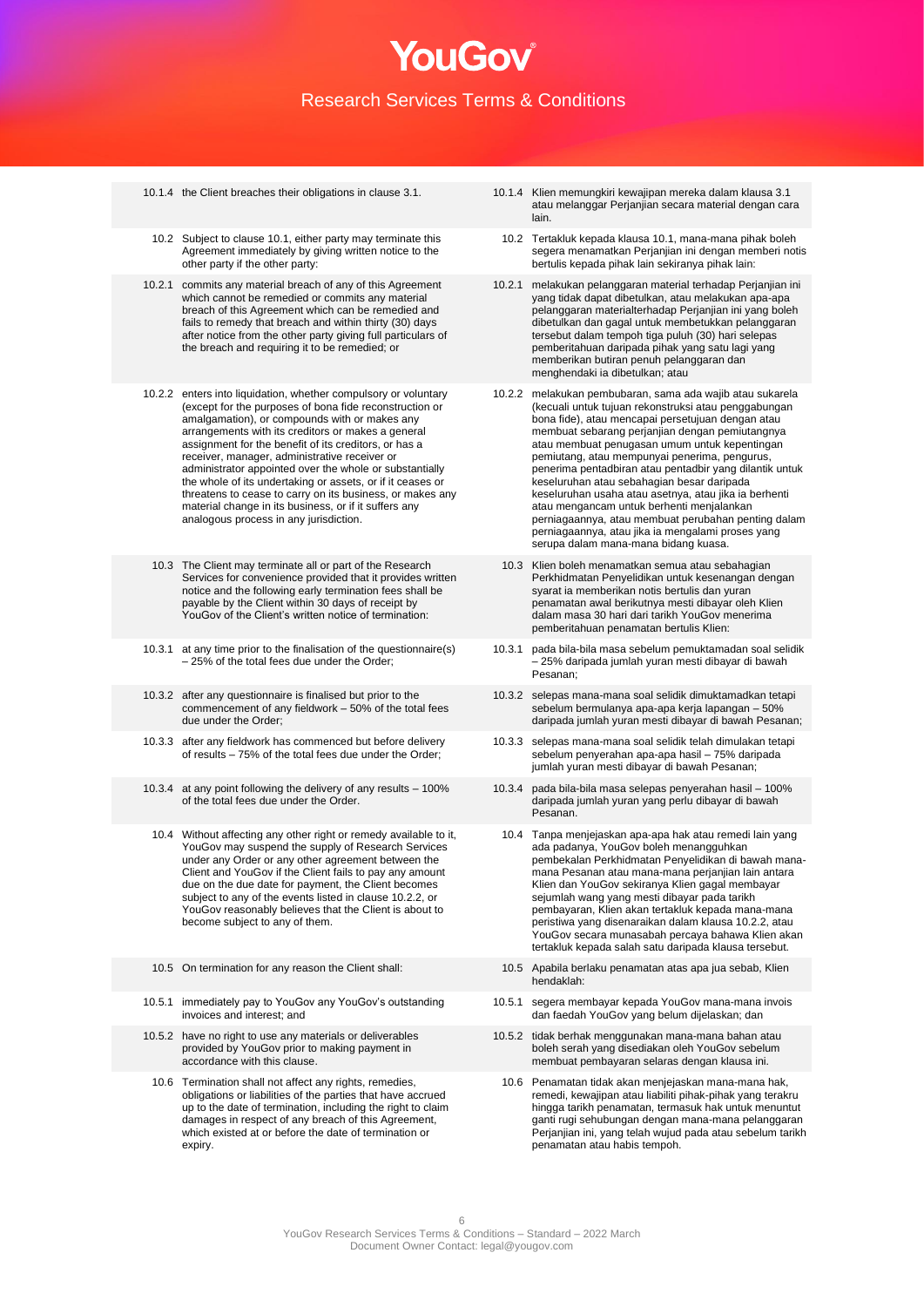- 
- 10.2 Subject to clause 10.1, either party may terminate this Agreement immediately by giving written notice to the other party if the other party:
- 10.2.1 commits any material breach of any of this Agreement which cannot be remedied or commits any material breach of this Agreement which can be remedied and fails to remedy that breach and within thirty (30) days after notice from the other party giving full particulars of the breach and requiring it to be remedied; or
- 10.2.2 enters into liquidation, whether compulsory or voluntary (except for the purposes of bona fide reconstruction or amalgamation), or compounds with or makes any arrangements with its creditors or makes a general assignment for the benefit of its creditors, or has a receiver, manager, administrative receiver or administrator appointed over the whole or substantially the whole of its undertaking or assets, or if it ceases or threatens to cease to carry on its business, or makes any material change in its business, or if it suffers any analogous process in any jurisdiction.
- 10.3 The Client may terminate all or part of the Research Services for convenience provided that it provides written notice and the following early termination fees shall be payable by the Client within 30 days of receipt by YouGov of the Client's written notice of termination:
- 10.3.1 at any time prior to the finalisation of the questionnaire(s) – 25% of the total fees due under the Order;
- 10.3.2 after any questionnaire is finalised but prior to the commencement of any fieldwork – 50% of the total fees due under the Order;
- 10.3.3 after any fieldwork has commenced but before delivery of results – 75% of the total fees due under the Order;
- 10.3.4 at any point following the delivery of any results 100% of the total fees due under the Order.
- 10.4 Without affecting any other right or remedy available to it, YouGov may suspend the supply of Research Services under any Order or any other agreement between the Client and YouGov if the Client fails to pay any amount due on the due date for payment, the Client becomes subject to any of the events listed in clause 10.2.2, or YouGov reasonably believes that the Client is about to become subject to any of them.
- 
- 10.5.1 immediately pay to YouGov any YouGov's outstanding invoices and interest; and
- 10.5.2 have no right to use any materials or deliverables provided by YouGov prior to making payment in accordance with this clause.
- 10.6 Termination shall not affect any rights, remedies obligations or liabilities of the parties that have accrued up to the date of termination, including the right to claim damages in respect of any breach of this Agreement, which existed at or before the date of termination or expiry.
- 10.1.4 the Client breaches their obligations in clause 3.1. 10.1.4 Klien memungkiri kewajipan mereka dalam klausa 3.1 atau melanggar Perjanjian secara material dengan cara lain.
	- 10.2 Tertakluk kepada klausa 10.1, mana-mana pihak boleh segera menamatkan Perjanjian ini dengan memberi notis bertulis kepada pihak lain sekiranya pihak lain:
	- 10.2.1 melakukan pelanggaran material terhadap Perjanjian ini yang tidak dapat dibetulkan, atau melakukan apa-apa pelanggaran materialterhadap Perjanjian ini yang boleh dibetulkan dan gagal untuk membetukkan pelanggaran tersebut dalam tempoh tiga puluh (30) hari selepas pemberitahuan daripada pihak yang satu lagi yang memberikan butiran penuh pelanggaran dan menghendaki ia dibetulkan; atau
	- 10.2.2 melakukan pembubaran, sama ada wajib atau sukarela (kecuali untuk tujuan rekonstruksi atau penggabungan bona fide), atau mencapai persetujuan dengan atau membuat sebarang perjanjian dengan pemiutangnya atau membuat penugasan umum untuk kepentingan pemiutang, atau mempunyai penerima, pengurus, penerima pentadbiran atau pentadbir yang dilantik untuk keseluruhan atau sebahagian besar daripada keseluruhan usaha atau asetnya, atau jika ia berhenti atau mengancam untuk berhenti menjalankan perniagaannya, atau membuat perubahan penting dalam perniagaannya, atau jika ia mengalami proses yang serupa dalam mana-mana bidang kuasa.
	- 10.3 Klien boleh menamatkan semua atau sebahagian Perkhidmatan Penyelidikan untuk kesenangan dengan syarat ia memberikan notis bertulis dan yuran penamatan awal berikutnya mesti dibayar oleh Klien dalam masa 30 hari dari tarikh YouGov menerima pemberitahuan penamatan bertulis Klien:
	- 10.3.1 pada bila-bila masa sebelum pemuktamadan soal selidik – 25% daripada jumlah yuran mesti dibayar di bawah Pesanan;
	- 10.3.2 selepas mana-mana soal selidik dimuktamadkan tetapi sebelum bermulanya apa-apa kerja lapangan – 50% daripada jumlah yuran mesti dibayar di bawah Pesanan;
	- 10.3.3 selepas mana-mana soal selidik telah dimulakan tetapi sebelum penyerahan apa-apa hasil – 75% daripada jumlah yuran mesti dibayar di bawah Pesanan;
	- 10.3.4 pada bila-bila masa selepas penyerahan hasil 100% daripada jumlah yuran yang perlu dibayar di bawah Pesanan.
		- 10.4 Tanpa menjejaskan apa-apa hak atau remedi lain yang ada padanya, YouGov boleh menangguhkan pembekalan Perkhidmatan Penyelidikan di bawah manamana Pesanan atau mana-mana perjanjian lain antara Klien dan YouGov sekiranya Klien gagal membayar sejumlah wang yang mesti dibayar pada tarikh pembayaran, Klien akan tertakluk kepada mana-mana peristiwa yang disenaraikan dalam klausa 10.2.2, atau YouGov secara munasabah percaya bahawa Klien akan tertakluk kepada salah satu daripada klausa tersebut.
- 10.5 On termination for any reason the Client shall: 10.5 Apabila berlaku penamatan atas apa jua sebab, Klien hendaklah:
	- 10.5.1 segera membayar kepada YouGov mana-mana invois dan faedah YouGov yang belum dijelaskan; dan
	- 10.5.2 tidak berhak menggunakan mana-mana bahan atau boleh serah yang disediakan oleh YouGov sebelum membuat pembayaran selaras dengan klausa ini.
	- 10.6 Penamatan tidak akan menjejaskan mana-mana hak, remedi, kewajipan atau liabiliti pihak-pihak yang terakru hingga tarikh penamatan, termasuk hak untuk menuntut ganti rugi sehubungan dengan mana-mana pelanggaran Perjanjian ini, yang telah wujud pada atau sebelum tarikh penamatan atau habis tempoh.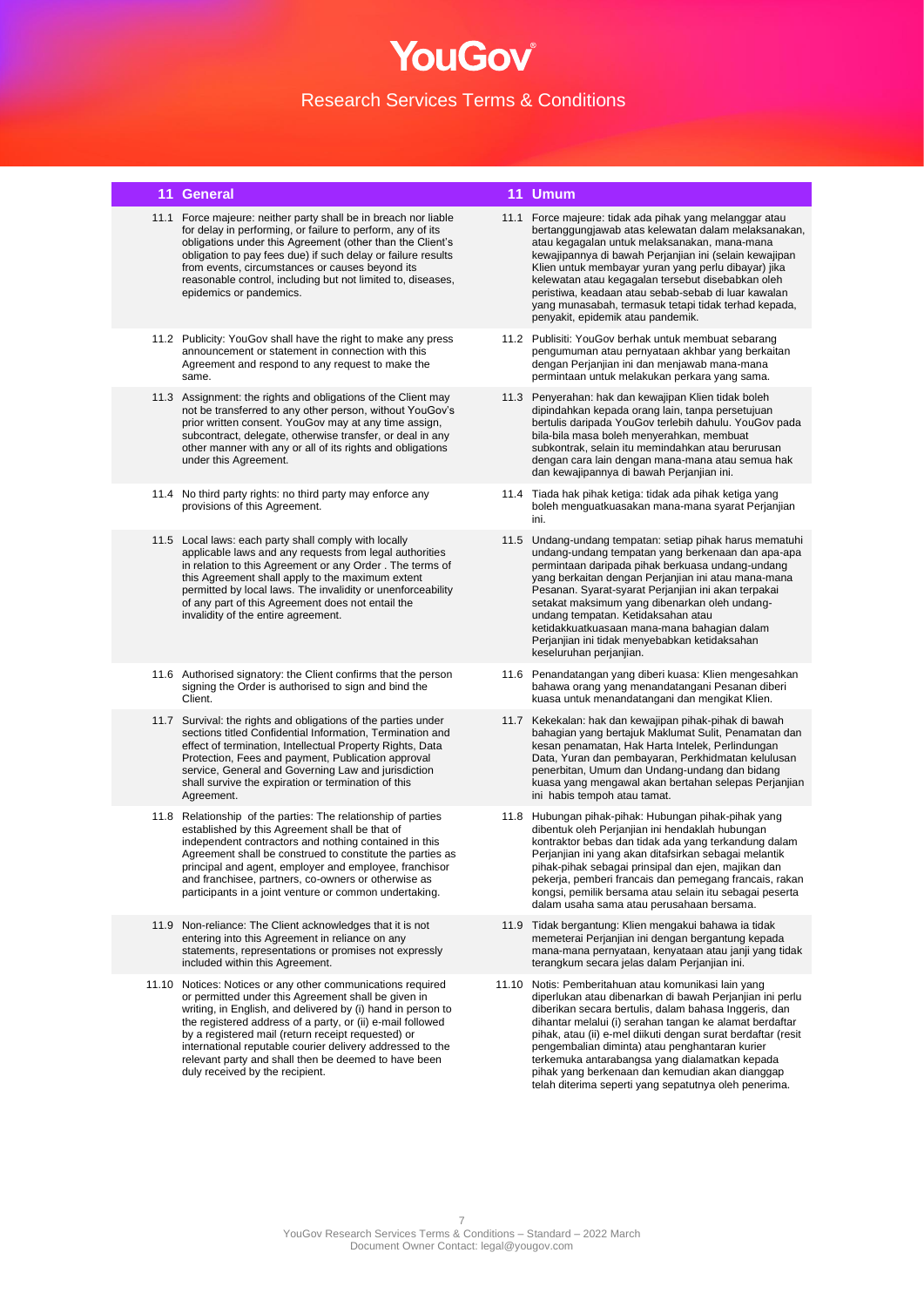#### **11 General 11 Umum**

- 11.1 Force majeure: neither party shall be in breach nor liable for delay in performing, or failure to perform, any of its obligations under this Agreement (other than the Client's obligation to pay fees due) if such delay or failure results from events, circumstances or causes beyond its reasonable control, including but not limited to, diseases, epidemics or pandemics.
- 11.2 Publicity: YouGov shall have the right to make any press announcement or statement in connection with this Agreement and respond to any request to make the same.
- 11.3 Assignment: the rights and obligations of the Client may not be transferred to any other person, without YouGov's prior written consent. YouGov may at any time assign, subcontract, delegate, otherwise transfer, or deal in any other manner with any or all of its rights and obligations under this Agreement.
- 11.4 No third party rights: no third party may enforce any provisions of this Agreement.
- 11.5 Local laws: each party shall comply with locally applicable laws and any requests from legal authorities in relation to this Agreement or any Order . The terms of this Agreement shall apply to the maximum extent permitted by local laws. The invalidity or unenforceability of any part of this Agreement does not entail the invalidity of the entire agreement.
- 11.6 Authorised signatory: the Client confirms that the person signing the Order is authorised to sign and bind the **Client**
- 11.7 Survival: the rights and obligations of the parties under sections titled Confidential Information, Termination and effect of termination, Intellectual Property Rights, Data Protection, Fees and payment, Publication approval service, General and Governing Law and jurisdiction shall survive the expiration or termination of this Agreement.
- 11.8 Relationship of the parties: The relationship of parties established by this Agreement shall be that of independent contractors and nothing contained in this Agreement shall be construed to constitute the parties as principal and agent, employer and employee, franchisor and franchisee, partners, co-owners or otherwise as participants in a joint venture or common undertaking.
- 11.9 Non-reliance: The Client acknowledges that it is not entering into this Agreement in reliance on any statements, representations or promises not expressly included within this Agreement.
- 11.10 Notices: Notices or any other communications required or permitted under this Agreement shall be given in writing, in English, and delivered by (i) hand in person to the registered address of a party, or (ii) e-mail followed by a registered mail (return receipt requested) or international reputable courier delivery addressed to the relevant party and shall then be deemed to have been duly received by the recipient.

- 11.1 Force majeure: tidak ada pihak yang melanggar atau bertanggungjawab atas kelewatan dalam melaksanakan, atau kegagalan untuk melaksanakan, mana-mana kewajipannya di bawah Perjanjian ini (selain kewajipan Klien untuk membayar yuran yang perlu dibayar) jika kelewatan atau kegagalan tersebut disebabkan oleh peristiwa, keadaan atau sebab-sebab di luar kawalan yang munasabah, termasuk tetapi tidak terhad kepada, penyakit, epidemik atau pandemik.
- 11.2 Publisiti: YouGov berhak untuk membuat sebarang pengumuman atau pernyataan akhbar yang berkaitan dengan Perjanjian ini dan menjawab mana-mana permintaan untuk melakukan perkara yang sama.
- 11.3 Penyerahan: hak dan kewajipan Klien tidak boleh dipindahkan kepada orang lain, tanpa persetujuan bertulis daripada YouGov terlebih dahulu. YouGov pada bila-bila masa boleh menyerahkan, membuat subkontrak, selain itu memindahkan atau berurusan dengan cara lain dengan mana-mana atau semua hak dan kewajipannya di bawah Perjanjian ini.
- 11.4 Tiada hak pihak ketiga: tidak ada pihak ketiga yang boleh menguatkuasakan mana-mana syarat Perjanjian ini.
- 11.5 Undang-undang tempatan: setiap pihak harus mematuhi undang-undang tempatan yang berkenaan dan apa-apa permintaan daripada pihak berkuasa undang-undang yang berkaitan dengan Perjanjian ini atau mana-mana Pesanan. Syarat-syarat Perjanjian ini akan terpakai setakat maksimum yang dibenarkan oleh undangundang tempatan. Ketidaksahan atau ketidakkuatkuasaan mana-mana bahagian dalam Perjanjian ini tidak menyebabkan ketidaksahan keseluruhan perjanjian.
- 11.6 Penandatangan yang diberi kuasa: Klien mengesahkan bahawa orang yang menandatangani Pesanan diberi kuasa untuk menandatangani dan mengikat Klien.
- 11.7 Kekekalan: hak dan kewajipan pihak-pihak di bawah bahagian yang bertajuk Maklumat Sulit, Penamatan dan kesan penamatan, Hak Harta Intelek, Perlindungan Data, Yuran dan pembayaran, Perkhidmatan kelulusan penerbitan, Umum dan Undang-undang dan bidang kuasa yang mengawal akan bertahan selepas Perjanjian ini habis tempoh atau tamat.
- 11.8 Hubungan pihak-pihak: Hubungan pihak-pihak yang dibentuk oleh Perjanjian ini hendaklah hubungan kontraktor bebas dan tidak ada yang terkandung dalam Perjanjian ini yang akan ditafsirkan sebagai melantik pihak-pihak sebagai prinsipal dan ejen, majikan dan pekerja, pemberi francais dan pemegang francais, rakan kongsi, pemilik bersama atau selain itu sebagai peserta dalam usaha sama atau perusahaan bersama.
- 11.9 Tidak bergantung: Klien mengakui bahawa ia tidak memeterai Perjanjian ini dengan bergantung kepada mana-mana pernyataan, kenyataan atau janji yang tidak terangkum secara jelas dalam Perjanjian ini.
- 11.10 Notis: Pemberitahuan atau komunikasi lain yang diperlukan atau dibenarkan di bawah Perjanjian ini perlu diberikan secara bertulis, dalam bahasa Inggeris, dan dihantar melalui (i) serahan tangan ke alamat berdaftar pihak, atau (ii) e-mel diikuti dengan surat berdaftar (resit pengembalian diminta) atau penghantaran kurier terkemuka antarabangsa yang dialamatkan kepada pihak yang berkenaan dan kemudian akan dianggap telah diterima seperti yang sepatutnya oleh penerima.